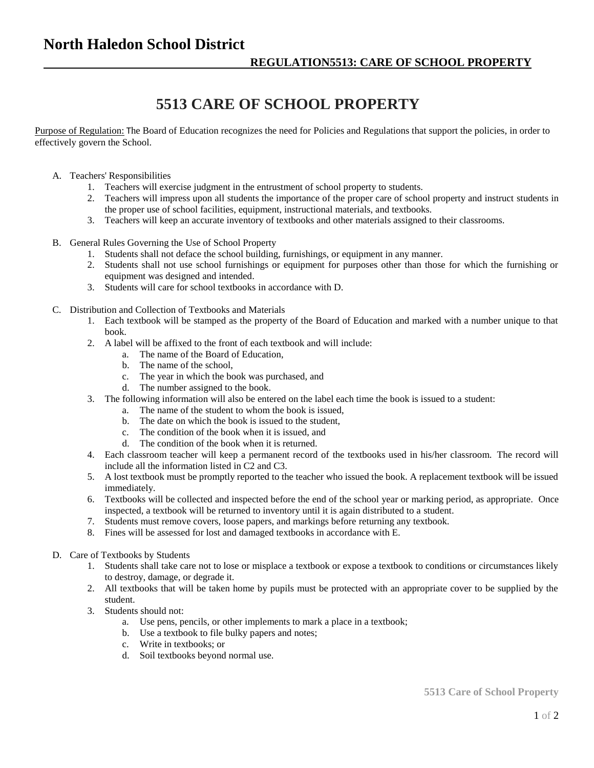## **North Haledon School District**

## **5513 CARE OF SCHOOL PROPERTY**

Purpose of Regulation: The Board of Education recognizes the need for Policies and Regulations that support the policies, in order to effectively govern the School.

- A. Teachers' Responsibilities
	- 1. Teachers will exercise judgment in the entrustment of school property to students.
	- 2. Teachers will impress upon all students the importance of the proper care of school property and instruct students in the proper use of school facilities, equipment, instructional materials, and textbooks.
	- 3. Teachers will keep an accurate inventory of textbooks and other materials assigned to their classrooms.
- B. General Rules Governing the Use of School Property
	- 1. Students shall not deface the school building, furnishings, or equipment in any manner.
	- 2. Students shall not use school furnishings or equipment for purposes other than those for which the furnishing or equipment was designed and intended.
	- 3. Students will care for school textbooks in accordance with D.
- C. Distribution and Collection of Textbooks and Materials
	- 1. Each textbook will be stamped as the property of the Board of Education and marked with a number unique to that book.
	- 2. A label will be affixed to the front of each textbook and will include:
		- a. The name of the Board of Education,
		- b. The name of the school,
		- c. The year in which the book was purchased, and
		- d. The number assigned to the book.
	- 3. The following information will also be entered on the label each time the book is issued to a student:
		- a. The name of the student to whom the book is issued,
		- b. The date on which the book is issued to the student,
		- c. The condition of the book when it is issued, and
		- d. The condition of the book when it is returned.
	- 4. Each classroom teacher will keep a permanent record of the textbooks used in his/her classroom. The record will include all the information listed in C2 and C3.
	- 5. A lost textbook must be promptly reported to the teacher who issued the book. A replacement textbook will be issued immediately.
	- 6. Textbooks will be collected and inspected before the end of the school year or marking period, as appropriate. Once inspected, a textbook will be returned to inventory until it is again distributed to a student.
	- 7. Students must remove covers, loose papers, and markings before returning any textbook.
	- 8. Fines will be assessed for lost and damaged textbooks in accordance with E.
- D. Care of Textbooks by Students
	- 1. Students shall take care not to lose or misplace a textbook or expose a textbook to conditions or circumstances likely to destroy, damage, or degrade it.
	- 2. All textbooks that will be taken home by pupils must be protected with an appropriate cover to be supplied by the student.
	- 3. Students should not:
		- a. Use pens, pencils, or other implements to mark a place in a textbook;
		- b. Use a textbook to file bulky papers and notes;
		- c. Write in textbooks; or
		- d. Soil textbooks beyond normal use.